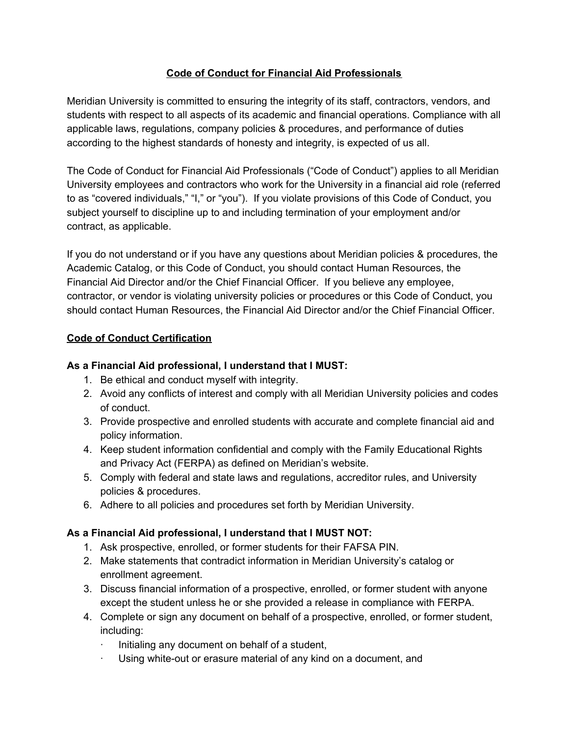# **Code of Conduct for Financial Aid Professionals**

Meridian University is committed to ensuring the integrity of its staff, contractors, vendors, and students with respect to all aspects of its academic and financial operations. Compliance with all applicable laws, regulations, company policies & procedures, and performance of duties according to the highest standards of honesty and integrity, is expected of us all.

The Code of Conduct for Financial Aid Professionals ("Code of Conduct") applies to all Meridian University employees and contractors who work for the University in a financial aid role (referred to as "covered individuals," "I," or "you"). If you violate provisions of this Code of Conduct, you subject yourself to discipline up to and including termination of your employment and/or contract, as applicable.

If you do not understand or if you have any questions about Meridian policies & procedures, the Academic Catalog, or this Code of Conduct, you should contact Human Resources, the Financial Aid Director and/or the Chief Financial Officer. If you believe any employee, contractor, or vendor is violating university policies or procedures or this Code of Conduct, you should contact Human Resources, the Financial Aid Director and/or the Chief Financial Officer.

## **Code of Conduct Certification**

#### **As a Financial Aid professional, I understand that I MUST:**

- 1. Be ethical and conduct myself with integrity.
- 2. Avoid any conflicts of interest and comply with all Meridian University policies and codes of conduct.
- 3. Provide prospective and enrolled students with accurate and complete financial aid and policy information.
- 4. Keep student information confidential and comply with the Family Educational Rights and Privacy Act (FERPA) as defined on Meridian's website.
- 5. Comply with federal and state laws and regulations, accreditor rules, and University policies & procedures.
- 6. Adhere to all policies and procedures set forth by Meridian University.

## **As a Financial Aid professional, I understand that I MUST NOT:**

- 1. Ask prospective, enrolled, or former students for their FAFSA PIN.
- 2. Make statements that contradict information in Meridian University's catalog or enrollment agreement.
- 3. Discuss financial information of a prospective, enrolled, or former student with anyone except the student unless he or she provided a release in compliance with FERPA.
- 4. Complete or sign any document on behalf of a prospective, enrolled, or former student, including:
	- $\cdot$  Initialing any document on behalf of a student,
	- Using white-out or erasure material of any kind on a document, and